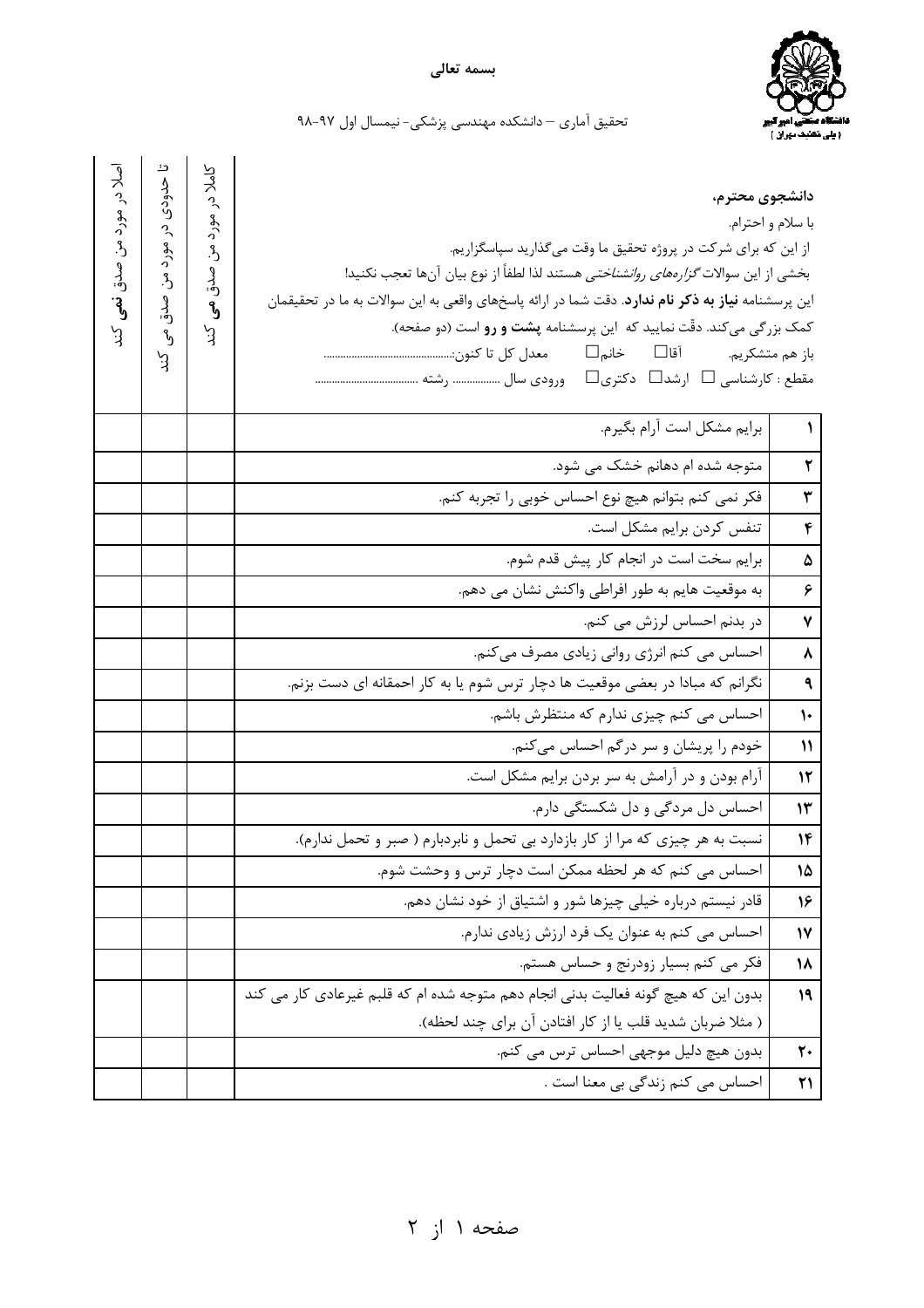

تحقیق آماری – دانشکده مهندسی پزشکی- نیمسال اول ۹۷-۹۸

| اصلادر<br>مورد من صدق<br>$\mathcal{E}$<br>ر<br>ڊ | تا حدودی<br>$\tilde{c}$<br>ھوڑ د<br>$\mathfrak{L}$<br>و<br>دق<br>$\mathcal{L}_{\mathcal{D}}$<br>ر<br>ڊ | کاملا در<br>هورد<br>$\mathcal{E}$<br>و<br>مدق<br>٩,<br>$\mathcal{E}$ | دانشجوي محترم،<br>از این که برای شرکت در پروژه تحقیق ما وقت میگذارید سپاسگزاریم.<br>بخشي از اين سوالات <i>گزارههاي روانشناختي</i> هستند لذا لطفاً از نوع بيان آنها تعجب نكنيد!<br>این پرسشنامه <b>نیاز به ذکر نام ندارد</b> . دقت شما در ارائه پاسخهای واقعی به این سوالات به ما در تحقیقمان<br>کمک بزرگی میکند. دقّت نمایید که این پرسشنامه <b>پشت و رو</b> است (دو صفحه).<br>مقطع : کارشناسی □ ارشد□ دکتری□ ورودی سال ……………… رشته ………………………………… | با سلام و احترام. |
|--------------------------------------------------|--------------------------------------------------------------------------------------------------------|----------------------------------------------------------------------|---------------------------------------------------------------------------------------------------------------------------------------------------------------------------------------------------------------------------------------------------------------------------------------------------------------------------------------------------------------------------------------------------------------------------------------------------|-------------------|
|                                                  |                                                                                                        |                                                                      | برايم مشكل است آرام بگيرم.                                                                                                                                                                                                                                                                                                                                                                                                                        | $\mathcal{L}$     |
|                                                  |                                                                                                        |                                                                      | متوجه شده ام دهانم خشک می شود.                                                                                                                                                                                                                                                                                                                                                                                                                    | ٢                 |
|                                                  |                                                                                                        |                                                                      | فکر نمی کنم بتوانم هیچ نوع احساس خوبی را تجربه کنم.                                                                                                                                                                                                                                                                                                                                                                                               | ٣                 |
|                                                  |                                                                                                        |                                                                      | تنفس كردن برايم مشكل است.                                                                                                                                                                                                                                                                                                                                                                                                                         | ۴                 |
|                                                  |                                                                                                        |                                                                      | برايم سخت است در انجام كار پيش قدم شوم.                                                                                                                                                                                                                                                                                                                                                                                                           | ۵                 |
|                                                  |                                                                                                        |                                                                      | به موقعیت هایم به طور افراطی واکنش نشان می دهم.                                                                                                                                                                                                                                                                                                                                                                                                   | ۶                 |
|                                                  |                                                                                                        |                                                                      | در بدنم احساس لرزش می کنم.                                                                                                                                                                                                                                                                                                                                                                                                                        | $\mathbf v$       |
|                                                  |                                                                                                        |                                                                      | احساس می کنم انرژی روانی زیادی مصرف میکنم.                                                                                                                                                                                                                                                                                                                                                                                                        | $\pmb{\lambda}$   |
|                                                  |                                                                                                        |                                                                      | نگرانم که مبادا در بعضی موقعیت ها دچار ترس شوم یا به کار احمقانه ای دست بزنم.                                                                                                                                                                                                                                                                                                                                                                     | ٩                 |
|                                                  |                                                                                                        |                                                                      | احساس می کنم چیزی ندارم که منتظرش باشم.                                                                                                                                                                                                                                                                                                                                                                                                           | $\mathcal{V}$     |
|                                                  |                                                                                                        |                                                                      | خودم را پریشان و سر درگم احساس میکنم.                                                                                                                                                                                                                                                                                                                                                                                                             | $\mathcal{V}$     |
|                                                  |                                                                                                        |                                                                      | آرام بودن و در آرامش به سر بردن برایم مشکل است.                                                                                                                                                                                                                                                                                                                                                                                                   | 12                |
|                                                  |                                                                                                        |                                                                      | احساس دل مردگی و دل شکستگی دارم.                                                                                                                                                                                                                                                                                                                                                                                                                  | ۱۳                |
|                                                  |                                                                                                        |                                                                      | نسبت به هر چیزی که مرا از کار بازدارد بی تحمل و نابردبارم ( صبر و تحمل ندارم).                                                                                                                                                                                                                                                                                                                                                                    | $\mathcal{W}$     |
|                                                  |                                                                                                        |                                                                      | احساس می کنم که هر لحظه ممکن است دچار ترس و وحشت شوم.                                                                                                                                                                                                                                                                                                                                                                                             | 15                |
|                                                  |                                                                                                        |                                                                      | قادر نیستم درباره خیلی چیزها شور و اشتیاق از خود نشان دهم.                                                                                                                                                                                                                                                                                                                                                                                        | 16                |
|                                                  |                                                                                                        |                                                                      | احساس می کنم به عنوان یک فرد ارزش زیادی ندارم.                                                                                                                                                                                                                                                                                                                                                                                                    | $\mathsf{N}$      |
|                                                  |                                                                                                        |                                                                      | فکر می کنم بسیار زودرنج و حساس هستم.                                                                                                                                                                                                                                                                                                                                                                                                              | ۱۸                |
|                                                  |                                                                                                        |                                                                      | بدون این که هیچ گونه فعالیت بدنی انجام دهم متوجه شده ام که قلبم غیرعادی کار می کند                                                                                                                                                                                                                                                                                                                                                                | 19                |
|                                                  |                                                                                                        |                                                                      | ( مثلا ضربان شديد قلب يا از كار افتادن آن براي چند لحظه).<br>بدون هيچ دليل موجهي احساس ترس مي كنم.                                                                                                                                                                                                                                                                                                                                                |                   |
|                                                  |                                                                                                        |                                                                      | احساس می کنم زندگی بی معنا است .                                                                                                                                                                                                                                                                                                                                                                                                                  | ٢٠<br>21          |